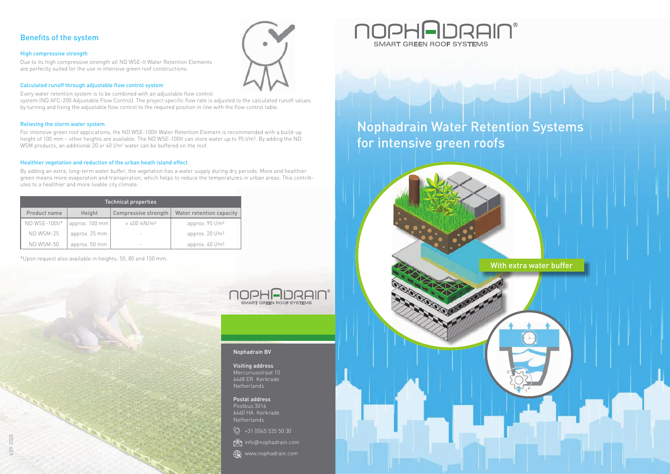## Nophadrain Water Retention Systems for intensive green roofs



With extra water buffer

### Benefits of the system

### High compressive strength

Due to its high compressive strength all ND WSE-lt Water Retention Elements are perfectly suited for the use in intensive green roof constructions.

### Calculated runoff through adjustable flow control system

Every water retention system is to be combined with an adjustable flow control system (ND AFC-200 Adjustable Flow Control). The project specific flow rate is adjusted to the calculated runoff values by turning and fixing the adjustable flow control to the required position in line with the flow control table.

For intensive green roof applications, the ND WSE-100lt Water Retention Element is recommended with a build-up height of 100 mm – other heights are available. The ND WSE-100lt can store water up to 95 l/m². By adding the ND WSM products, an additional 20 or 40 l/m<sup>2</sup> water can be buffered on the roof.

### Relieving the storm water system

### Healthier vegetation and reduction of the urban heath island effect

By adding an extra, long-term water buffer, the vegetation has a water supply during dry periods. More and healthier green means more evaporation and transpiration, which helps to reduce the temperatures in urban areas. This contributes to a healthier and more livable city climate.

\*Upon request also available in heights: 50, 80 and 150 mm.



| <b>Technical properties</b> |                |                          |                                          |
|-----------------------------|----------------|--------------------------|------------------------------------------|
| Product name                | Height         | Compressive strength     | <b>Water retention capacity</b>          |
| ND WSE-100lt*               | approx. 100 mm | $>400$ kN/m <sup>2</sup> | approx. $95 \frac{\text{I}}{\text{m}^2}$ |
| ND WSM-25                   | approx. 25 mm  |                          | approx. $20 \frac{1}{m^2}$               |
| ND WSM-50                   | approx. 50 mm  |                          | approx. $40 \frac{1}{m^2}$               |

### Nophadrain BV

#### Visiting address Mercuriusstraat 10 6468 ER Kerkrade Netherlands

Postal address Postbus 3016 6460 HA Kerkrade Netherlands







## NOPHADRAIN® **SMART GREEN ROOF SYSTEMS**